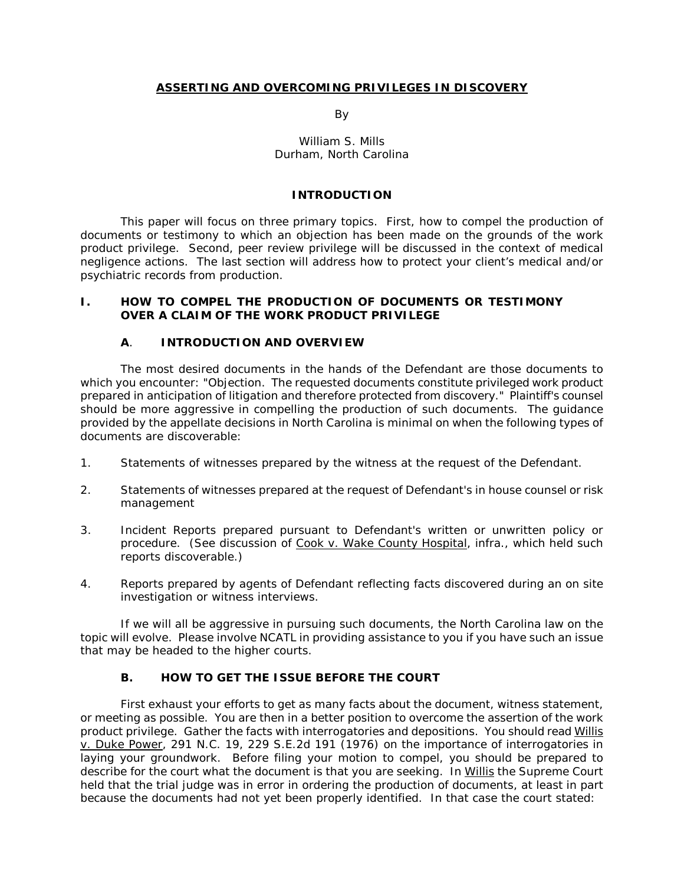#### **ASSERTING AND OVERCOMING PRIVILEGES IN DISCOVERY**

and the contract of the By-

#### William S. Mills Durham, North Carolina

#### **INTRODUCTION**

This paper will focus on three primary topics. First, how to compel the production of documents or testimony to which an objection has been made on the grounds of the work product privilege. Second, peer review privilege will be discussed in the context of medical negligence actions. The last section will address how to protect your client's medical and/or psychiatric records from production.

#### **I. HOW TO COMPEL THE PRODUCTION OF DOCUMENTS OR TESTIMONY OVER A CLAIM OF THE WORK PRODUCT PRIVILEGE**

## **A**. **INTRODUCTION AND OVERVIEW**

The most desired documents in the hands of the Defendant are those documents to which you encounter: "Objection. The requested documents constitute privileged work product prepared in anticipation of litigation and therefore protected from discovery." Plaintiff's counsel should be more aggressive in compelling the production of such documents. The guidance provided by the appellate decisions in North Carolina is minimal on when the following types of documents are discoverable:

- 1. Statements of witnesses prepared by the witness at the request of the Defendant.
- 2. Statements of witnesses prepared at the request of Defendant's in house counsel or risk management
- 3. Incident Reports prepared pursuant to Defendant's written or unwritten policy or procedure. (See discussion of Cook v. Wake County Hospital, *infra.*, which held such reports discoverable.)
- 4. Reports prepared by agents of Defendant reflecting facts discovered during an on site investigation or witness interviews.

If we will all be aggressive in pursuing such documents, the North Carolina law on the topic will evolve. Please involve NCATL in providing assistance to you if you have such an issue that may be headed to the higher courts.

## **B. HOW TO GET THE ISSUE BEFORE THE COURT**

First exhaust your efforts to get as many facts about the document, witness statement, or meeting as possible. You are then in a better position to overcome the assertion of the work product privilege. Gather the facts with interrogatories and depositions. You should read Willis v. Duke Power, 291 N.C. 19, 229 S.E.2d 191 (1976) on the importance of interrogatories in laying your groundwork. Before filing your motion to compel, you should be prepared to describe for the court what the document is that you are seeking. In Willis the Supreme Court held that the trial judge was in error in ordering the production of documents, at least in part because the documents had not yet been properly identified. In that case the court stated: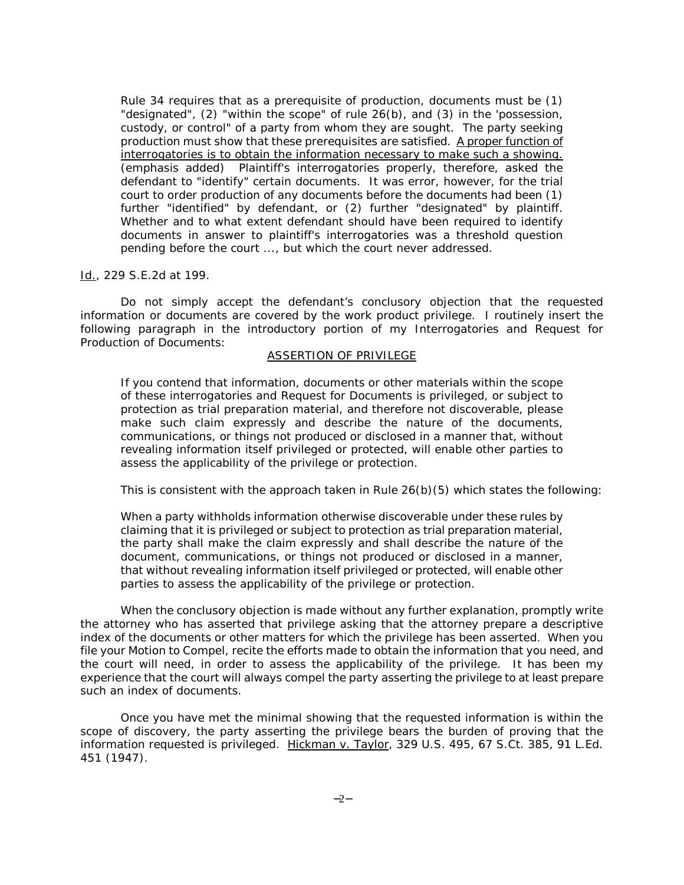Rule 34 requires that as a prerequisite of production, documents must be (1) "designated", (2) "within the scope" of rule 26(b), and (3) in the 'possession, custody, or control" of a party from whom they are sought. The party seeking production must show that these prerequisites are satisfied. A proper function of interrogatories is to obtain the information necessary to make such a showing. (emphasis added) Plaintiff's interrogatories properly, therefore, asked the defendant to "identify" certain documents. It was error, however, for the trial court to order production of any documents before the documents had been (1) further "identified" by defendant, or (2) further "designated" by plaintiff. Whether and to what extent defendant should have been required to identify documents in answer to plaintiff's interrogatories was a threshold question pending before the court ..., but which the court never addressed.

#### Id., 229 S.E.2d at 199.

Do not simply accept the defendant's conclusory objection that the requested information or documents are covered by the work product privilege. I routinely insert the following paragraph in the introductory portion of my Interrogatories and Request for Production of Documents:

#### ASSERTION OF PRIVILEGE

If you contend that information, documents or other materials within the scope of these interrogatories and Request for Documents is privileged, or subject to protection as trial preparation material, and therefore not discoverable, please make such claim expressly and describe the nature of the documents, communications, or things not produced or disclosed in a manner that, without revealing information itself privileged or protected, will enable other parties to assess the applicability of the privilege or protection.

This is consistent with the approach taken in Rule 26(b)(5) which states the following:

When a party withholds information otherwise discoverable under these rules by claiming that it is privileged or subject to protection as trial preparation material, the party shall make the claim expressly and shall describe the nature of the document, communications, or things not produced or disclosed in a manner, that without revealing information itself privileged or protected, will enable other parties to assess the applicability of the privilege or protection.

When the conclusory objection is made without any further explanation, promptly write the attorney who has asserted that privilege asking that the attorney prepare a descriptive index of the documents or other matters for which the privilege has been asserted. When you file your Motion to Compel, recite the efforts made to obtain the information that you need, and the court will need, in order to assess the applicability of the privilege. It has been my experience that the court will always compel the party asserting the privilege to at least prepare such an index of documents.

Once you have met the minimal showing that the requested information is within the scope of discovery, the party asserting the privilege bears the burden of proving that the information requested is privileged. Hickman v. Taylor, 329 U.S. 495, 67 S.Ct. 385, 91 L.Ed. 451 (1947).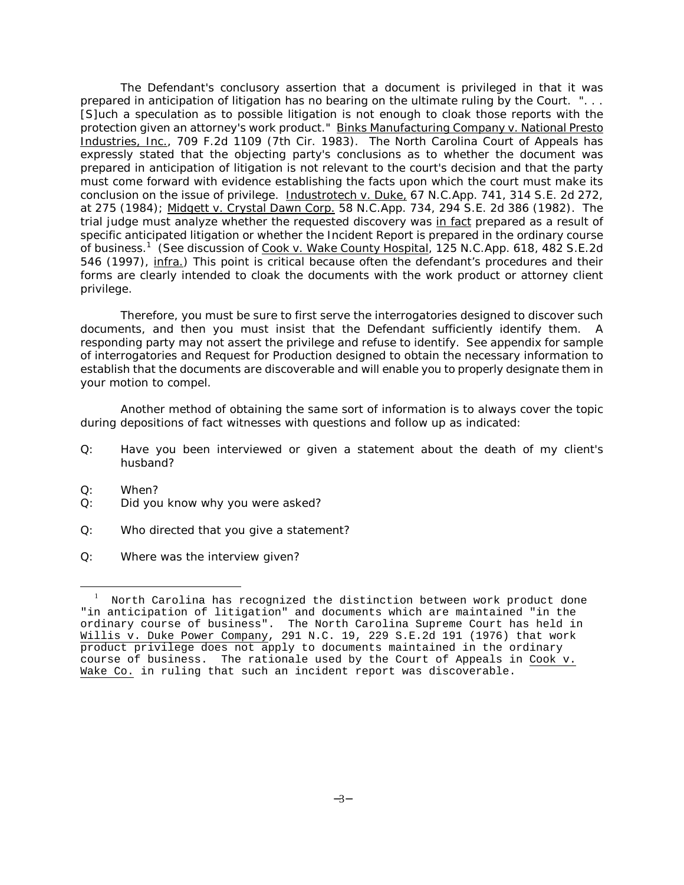The Defendant's conclusory assertion that a document is privileged in that it was prepared in anticipation of litigation has no bearing on the ultimate ruling by the Court. ". . . [S]uch a speculation as to possible litigation is not enough to cloak those reports with the protection given an attorney's work product." Binks Manufacturing Company v. National Presto Industries, Inc., 709 F.2d 1109 (7th Cir. 1983). The North Carolina Court of Appeals has expressly stated that the objecting party's conclusions as to whether the document was prepared in anticipation of litigation is not relevant to the court's decision and that the party must come forward with evidence establishing the facts upon which the court must make its conclusion on the issue of privilege. Industrotech v. Duke, 67 N.C.App. 741, 314 S.E. 2d 272, at 275 (1984); Midgett v. Crystal Dawn Corp. 58 N.C.App. 734, 294 S.E. 2d 386 (1982). The trial judge must analyze whether the requested discovery was in fact prepared as a result of specific anticipated litigation or whether the Incident Report is prepared in the ordinary course of business.<sup>1</sup> (See discussion of Cook v. Wake County Hospital, 125 N.C.App. 618, 482 S.E.2d 546 (1997), infra.) This point is critical because often the defendant's procedures and their forms are clearly intended to cloak the documents with the work product or attorney client privilege.

Therefore, you must be sure to first serve the interrogatories designed to discover such documents, and then you must insist that the Defendant sufficiently identify them. A responding party may not assert the privilege and refuse to identify. See appendix for sample of interrogatories and Request for Production designed to obtain the necessary information to establish that the documents are discoverable and will enable you to properly designate them in your motion to compel.

Another method of obtaining the same sort of information is to always cover the topic during depositions of fact witnesses with questions and follow up as indicated:

- Q: Have you been interviewed or given a statement about the death of my client's husband?
- Q: When?

 $\overline{a}$ 

- Q: Did you know why you were asked?
- Q: Who directed that you give a statement?
- Q: Where was the interview given?

<sup>&</sup>lt;sup>1</sup> North Carolina has recognized the distinction between work product done "in anticipation of litigation" and documents which are maintained "in the ordinary course of business". The North Carolina Supreme Court has held in Willis v. Duke Power Company, 291 N.C. 19, 229 S.E.2d 191 (1976) that work product privilege does not apply to documents maintained in the ordinary course of business. The rationale used by the Court of Appeals in Cook v. Wake Co. in ruling that such an incident report was discoverable.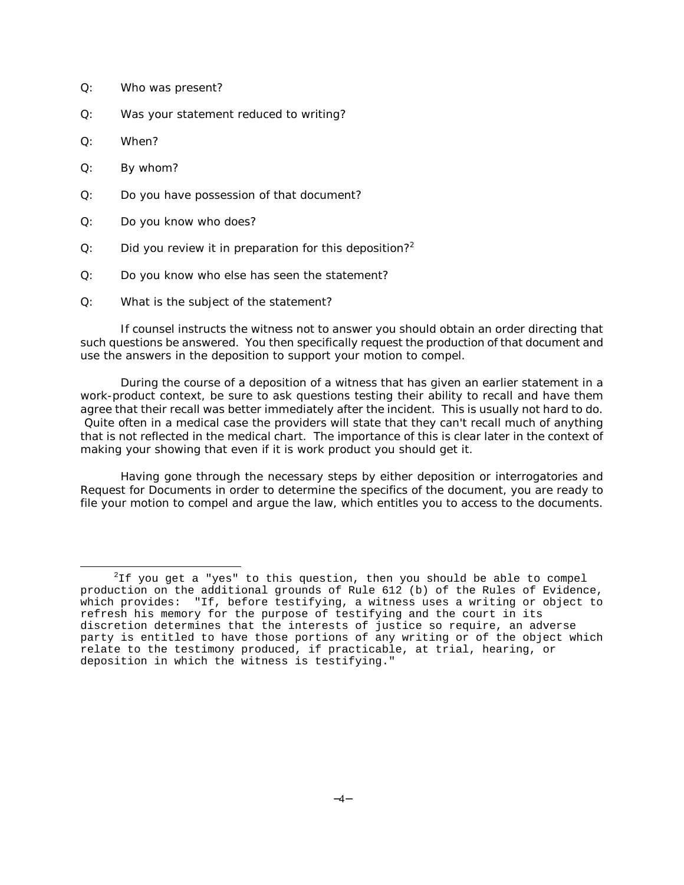- Q: Who was present?
- Q: Was your statement reduced to writing?
- Q: When?
- Q: By whom?
- Q: Do you have possession of that document?
- Q: Do you know who does?
- Q: Did you review it in preparation for this deposition?<sup>2</sup>
- Q: Do you know who else has seen the statement?
- Q: What is the subject of the statement?

If counsel instructs the witness not to answer you should obtain an order directing that such questions be answered. You then specifically request the production of that document and use the answers in the deposition to support your motion to compel.

During the course of a deposition of a witness that has given an earlier statement in a work-product context, be sure to ask questions testing their ability to recall and have them agree that their recall was better immediately after the incident. This is usually not hard to do. Quite often in a medical case the providers will state that they can't recall much of anything that is not reflected in the medical chart. The importance of this is clear later in the context of making your showing that even if it is work product you should get it.

Having gone through the necessary steps by either deposition or interrogatories and Request for Documents in order to determine the specifics of the document, you are ready to file your motion to compel and argue the law, which entitles you to access to the documents.

 $\overline{a}$  $2$ If you get a "yes" to this question, then you should be able to compel production on the additional grounds of Rule 612 (b) of the Rules of Evidence, which provides: "If, before testifying, a witness uses a writing or object to refresh his memory for the purpose of testifying and the court in its discretion determines that the interests of justice so require, an adverse party is entitled to have those portions of any writing or of the object which relate to the testimony produced, if practicable, at trial, hearing, or deposition in which the witness is testifying."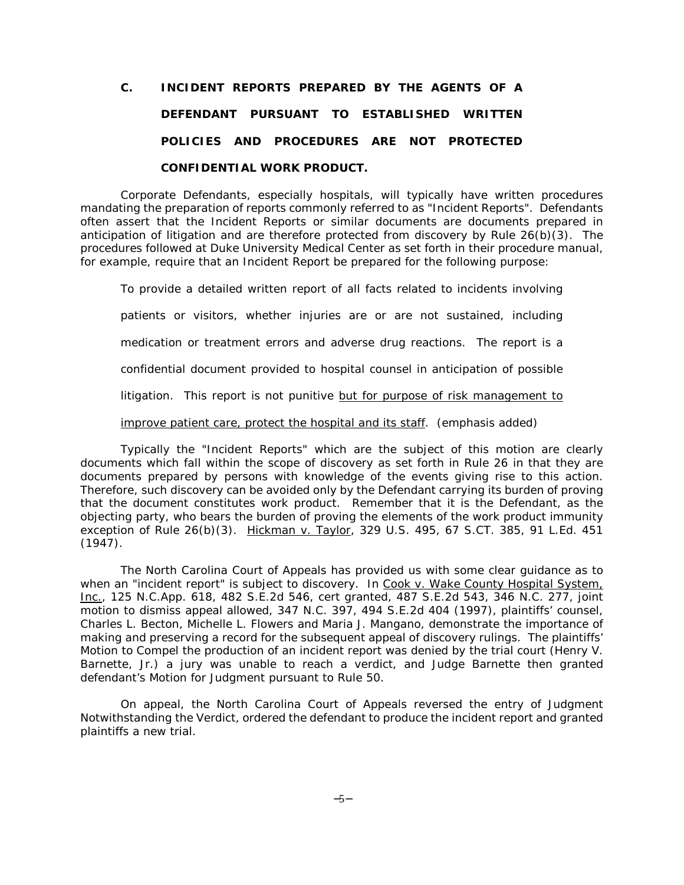## **C. INCIDENT REPORTS PREPARED BY THE AGENTS OF A DEFENDANT PURSUANT TO ESTABLISHED WRITTEN POLICIES AND PROCEDURES ARE NOT PROTECTED CONFIDENTIAL WORK PRODUCT.**

Corporate Defendants, especially hospitals, will typically have written procedures mandating the preparation of reports commonly referred to as "Incident Reports". Defendants often assert that the Incident Reports or similar documents are documents prepared in anticipation of litigation and are therefore protected from discovery by Rule 26(b)(3). The procedures followed at Duke University Medical Center as set forth in their procedure manual, for example, require that an Incident Report be prepared for the following purpose:

To provide a detailed written report of all facts related to incidents involving patients or visitors, whether injuries are or are not sustained, including medication or treatment errors and adverse drug reactions. The report is a confidential document provided to hospital counsel in anticipation of possible litigation. This report is not punitive but for purpose of risk management to improve patient care, protect the hospital and its staff. (emphasis added)

Typically the "Incident Reports" which are the subject of this motion are clearly documents which fall within the scope of discovery as set forth in Rule 26 in that they are documents prepared by persons with knowledge of the events giving rise to this action. Therefore, such discovery can be avoided only by the Defendant carrying its burden of proving that the document constitutes work product. Remember that it is the Defendant, as the objecting party, who bears the burden of proving the elements of the work product immunity exception of Rule 26(b)(3). Hickman v. Taylor, 329 U.S. 495, 67 S.CT. 385, 91 L.Ed. 451 (1947).

The North Carolina Court of Appeals has provided us with some clear guidance as to when an "incident report" is subject to discovery. In Cook v. Wake County Hospital System, Inc., 125 N.C.App. 618, 482 S.E.2d 546, *cert granted*, 487 S.E.2d 543, 346 N.C. 277, *joint motion to dismiss appeal allowed*, 347 N.C. 397, 494 S.E.2d 404 (1997), plaintiffs' counsel, Charles L. Becton, Michelle L. Flowers and Maria J. Mangano, demonstrate the importance of making and preserving a record for the subsequent appeal of discovery rulings. The plaintiffs' Motion to Compel the production of an incident report was denied by the trial court (Henry V. Barnette, Jr.) a jury was unable to reach a verdict, and Judge Barnette then granted defendant's Motion for Judgment pursuant to Rule 50.

On appeal, the North Carolina Court of Appeals reversed the entry of Judgment Notwithstanding the Verdict, ordered the defendant to produce the incident report and granted plaintiffs a new trial.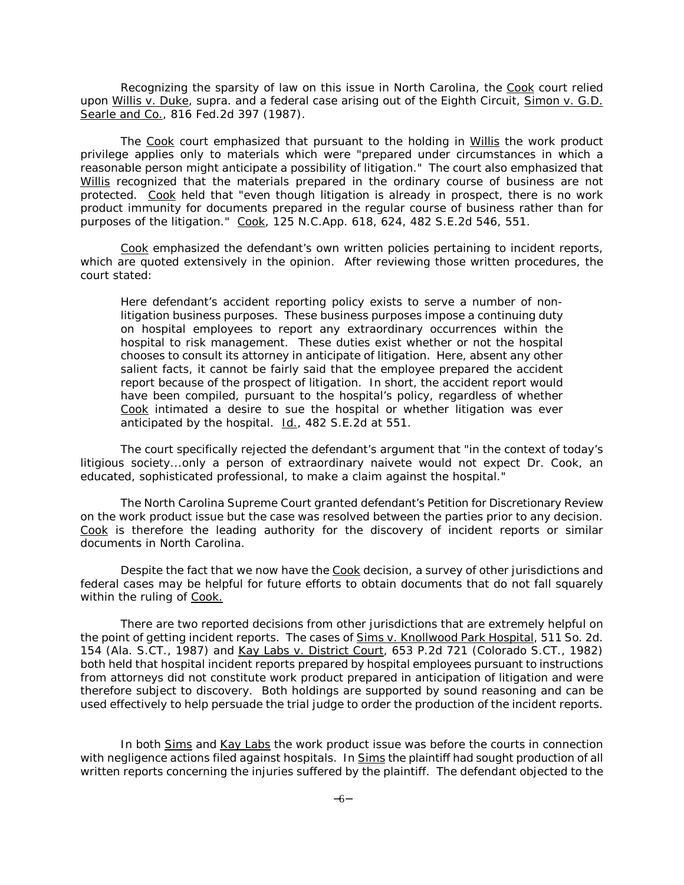Recognizing the sparsity of law on this issue in North Carolina, the Cook court relied upon Willis v. Duke, *supra.* and a federal case arising out of the Eighth Circuit, Simon v. G.D. Searle and Co., 816 Fed.2d 397 (1987).

The Cook court emphasized that pursuant to the holding in Willis the work product privilege applies only to materials which were "prepared under circumstances in which a reasonable person might anticipate a possibility of litigation." The court also emphasized that Willis recognized that the materials prepared in the ordinary course of business are not protected. Cook held that "even though litigation is already in prospect, there is no work product immunity for documents prepared in the regular course of business rather than for purposes of the litigation." Cook, 125 N.C.App. 618, 624, 482 S.E.2d 546, 551.

Cook emphasized the defendant's own written policies pertaining to incident reports, which are quoted extensively in the opinion. After reviewing those written procedures, the court stated:

Here defendant's accident reporting policy exists to serve a number of nonlitigation business purposes. These business purposes impose a continuing duty on hospital employees to report any extraordinary occurrences within the hospital to risk management. These duties exist whether or not the hospital chooses to consult its attorney in anticipate of litigation. Here, absent any other salient facts, it cannot be fairly said that the employee prepared the accident report because of the prospect of litigation. In short, the accident report would have been compiled, pursuant to the hospital's policy, regardless of whether Cook intimated a desire to sue the hospital or whether litigation was ever anticipated by the hospital. Id., 482 S.E.2d at 551.

The court specifically rejected the defendant's argument that "in the context of today's litigious society...only a person of extraordinary naivete would not expect Dr. Cook, an educated, sophisticated professional, to make a claim against the hospital."

The North Carolina Supreme Court granted defendant's Petition for Discretionary Review on the work product issue but the case was resolved between the parties prior to any decision. Cook is therefore the leading authority for the discovery of incident reports or similar documents in North Carolina.

Despite the fact that we now have the Cook decision, a survey of other jurisdictions and federal cases may be helpful for future efforts to obtain documents that do not fall squarely within the ruling of Cook.

There are two reported decisions from other jurisdictions that are extremely helpful on the point of getting incident reports. The cases of Sims v. Knollwood Park Hospital, 511 So. 2d. 154 (Ala. S.CT., 1987) and Kay Labs v. District Court, 653 P.2d 721 (Colorado S.CT., 1982) both held that hospital incident reports prepared by hospital employees pursuant to instructions from attorneys did not constitute work product prepared in anticipation of litigation and were therefore subject to discovery. Both holdings are supported by sound reasoning and can be used effectively to help persuade the trial judge to order the production of the incident reports.

In both Sims and Kay Labs the work product issue was before the courts in connection with negligence actions filed against hospitals. In Sims the plaintiff had sought production of all written reports concerning the injuries suffered by the plaintiff. The defendant objected to the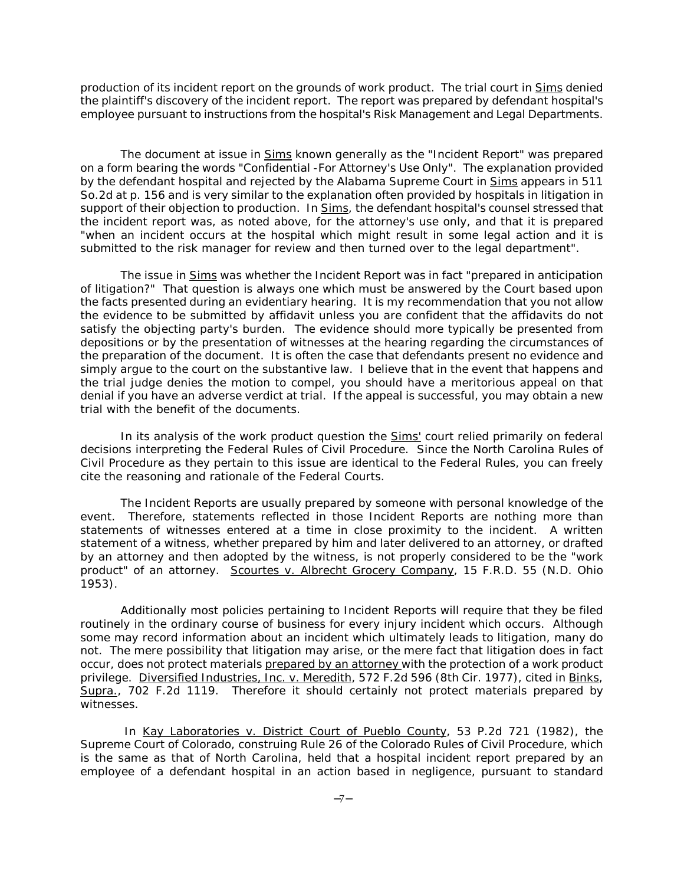production of its incident report on the grounds of work product. The trial court in Sims denied the plaintiff's discovery of the incident report. The report was prepared by defendant hospital's employee pursuant to instructions from the hospital's Risk Management and Legal Departments.

The document at issue in Sims known generally as the "Incident Report" was prepared on a form bearing the words "Confidential -For Attorney's Use Only". The explanation provided by the defendant hospital and rejected by the Alabama Supreme Court in Sims appears in 511 So.2d at p. 156 and is very similar to the explanation often provided by hospitals in litigation in support of their objection to production. In Sims, the defendant hospital's counsel stressed that the incident report was, as noted above, for the attorney's use only, and that it is prepared "when an incident occurs at the hospital which might result in some legal action and it is submitted to the risk manager for review and then turned over to the legal department".

The issue in Sims was whether the Incident Report was in fact "prepared in anticipation of litigation?" That question is always one which must be answered by the Court based upon the facts presented during an evidentiary hearing. It is my recommendation that you not allow the evidence to be submitted by affidavit unless you are confident that the affidavits do not satisfy the objecting party's burden. The evidence should more typically be presented from depositions or by the presentation of witnesses at the hearing regarding the circumstances of the preparation of the document. It is often the case that defendants present no evidence and simply argue to the court on the substantive law. I believe that in the event that happens and the trial judge denies the motion to compel, you should have a meritorious appeal on that denial if you have an adverse verdict at trial. If the appeal is successful, you may obtain a new trial with the benefit of the documents.

In its analysis of the work product question the **Sims'** court relied primarily on federal decisions interpreting the Federal Rules of Civil Procedure. Since the North Carolina Rules of Civil Procedure as they pertain to this issue are identical to the Federal Rules, you can freely cite the reasoning and rationale of the Federal Courts.

The Incident Reports are usually prepared by someone with personal knowledge of the event. Therefore, statements reflected in those Incident Reports are nothing more than statements of witnesses entered at a time in close proximity to the incident. A written statement of a witness, whether prepared by him and later delivered to an attorney, or drafted by an attorney and then adopted by the witness, is not properly considered to be the "work product" of an attorney. Scourtes v. Albrecht Grocery Company, 15 F.R.D. 55 (N.D. Ohio 1953).

Additionally most policies pertaining to Incident Reports will require that they be filed routinely in the ordinary course of business for every injury incident which occurs. Although some may record information about an incident which ultimately leads to litigation, many do not. The mere possibility that litigation may arise, or the mere fact that litigation does in fact occur, does not protect materials prepared by an attorney with the protection of a work product privilege. Diversified Industries, Inc. v. Meredith, 572 F.2d 596 (8th Cir. 1977), cited in Binks, Supra., 702 F.2d 1119. Therefore it should certainly not protect materials prepared by witnesses.

In Kay Laboratories v. District Court of Pueblo County, 53 P.2d 721 (1982), the Supreme Court of Colorado, construing Rule 26 of the Colorado Rules of Civil Procedure, which is the same as that of North Carolina, held that a hospital incident report prepared by an employee of a defendant hospital in an action based in negligence, pursuant to standard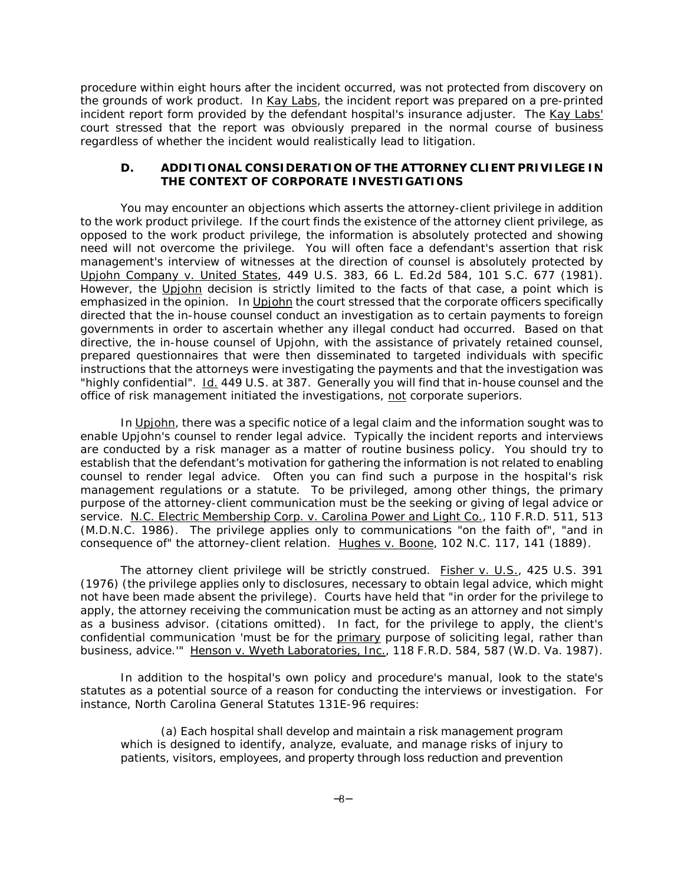procedure within eight hours after the incident occurred, was not protected from discovery on the grounds of work product. In Kay Labs, the incident report was prepared on a pre-printed incident report form provided by the defendant hospital's insurance adjuster. The Kay Labs' court stressed that the report was obviously prepared in the normal course of business regardless of whether the incident would realistically lead to litigation.

#### **D. ADDITIONAL CONSIDERATION OF THE ATTORNEY CLIENT PRIVILEGE IN THE CONTEXT OF CORPORATE INVESTIGATIONS**

You may encounter an objections which asserts the attorney-client privilege in addition to the work product privilege. If the court finds the existence of the attorney client privilege, as opposed to the work product privilege, the information is absolutely protected and showing need will not overcome the privilege. You will often face a defendant's assertion that risk management's interview of witnesses at the direction of counsel is absolutely protected by Upjohn Company v. United States, 449 U.S. 383, 66 L. Ed.2d 584, 101 S.C. 677 (1981). However, the Upjohn decision is strictly limited to the facts of that case, a point which is emphasized in the opinion. In Upjohn the court stressed that the corporate officers specifically directed that the in-house counsel conduct an investigation as to certain payments to foreign governments in order to ascertain whether any illegal conduct had occurred. Based on that directive, the in-house counsel of Upjohn, with the assistance of privately retained counsel, prepared questionnaires that were then disseminated to targeted individuals with specific instructions that the attorneys were investigating the payments and that the investigation was "highly confidential". Id. 449 U.S. at 387. Generally you will find that in-house counsel and the office of risk management initiated the investigations, not corporate superiors.

In Upjohn, there was a specific notice of a legal claim and the information sought was to enable Upjohn's counsel to render legal advice. Typically the incident reports and interviews are conducted by a risk manager as a matter of routine business policy. You should try to establish that the defendant's motivation for gathering the information is not related to enabling counsel to render legal advice. Often you can find such a purpose in the hospital's risk management regulations or a statute. To be privileged, among other things, the primary purpose of the attorney-client communication must be the seeking or giving of legal advice or service. N.C. Electric Membership Corp. v. Carolina Power and Light Co., 110 F.R.D. 511, 513 (M.D.N.C. 1986). The privilege applies only to communications "on the faith of", "and in consequence of" the attorney-client relation. Hughes v. Boone, 102 N.C. 117, 141 (1889).

The attorney client privilege will be strictly construed. Fisher v. U.S., 425 U.S. 391 (1976) (the privilege applies only to disclosures, necessary to obtain legal advice, which might not have been made absent the privilege). Courts have held that "in order for the privilege to apply, the attorney receiving the communication must be acting as an attorney and not simply as a business advisor. (citations omitted). In fact, for the privilege to apply, the client's confidential communication 'must be for the primary purpose of soliciting legal, rather than business, advice." Henson v. Wyeth Laboratories, Inc., 118 F.R.D. 584, 587 (W.D. Va. 1987).

In addition to the hospital's own policy and procedure's manual, look to the state's statutes as a potential source of a reason for conducting the interviews or investigation. For instance, North Carolina General Statutes 131E-96 requires:

(a) Each hospital shall develop and maintain a risk management program which is designed to identify, analyze, evaluate, and manage risks of injury to patients, visitors, employees, and property through loss reduction and prevention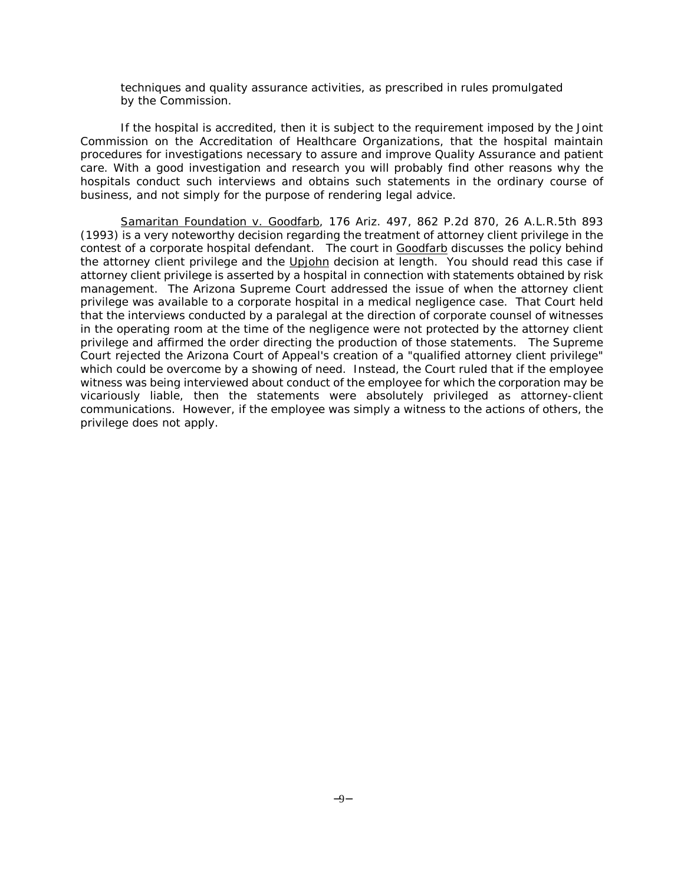techniques and quality assurance activities, as prescribed in rules promulgated by the Commission.

If the hospital is accredited, then it is subject to the requirement imposed by the Joint Commission on the Accreditation of Healthcare Organizations, that the hospital maintain procedures for investigations necessary to assure and improve Quality Assurance and patient care. With a good investigation and research you will probably find other reasons why the hospitals conduct such interviews and obtains such statements in the ordinary course of business, and not simply for the purpose of rendering legal advice.

Samaritan Foundation v. Goodfarb, 176 Ariz. 497, 862 P.2d 870, 26 A.L.R.5th 893 (1993) is a very noteworthy decision regarding the treatment of attorney client privilege in the contest of a corporate hospital defendant. The court in Goodfarb discusses the policy behind the attorney client privilege and the Upjohn decision at length. You should read this case if attorney client privilege is asserted by a hospital in connection with statements obtained by risk management. The Arizona Supreme Court addressed the issue of when the attorney client privilege was available to a corporate hospital in a medical negligence case. That Court held that the interviews conducted by a paralegal at the direction of corporate counsel of witnesses in the operating room at the time of the negligence were not protected by the attorney client privilege and affirmed the order directing the production of those statements. The Supreme Court rejected the Arizona Court of Appeal's creation of a "qualified attorney client privilege" which could be overcome by a showing of need. Instead, the Court ruled that if the employee witness was being interviewed about conduct of the employee for which the corporation may be vicariously liable, then the statements were absolutely privileged as attorney-client communications. However, if the employee was simply a witness to the actions of others, the privilege does not apply.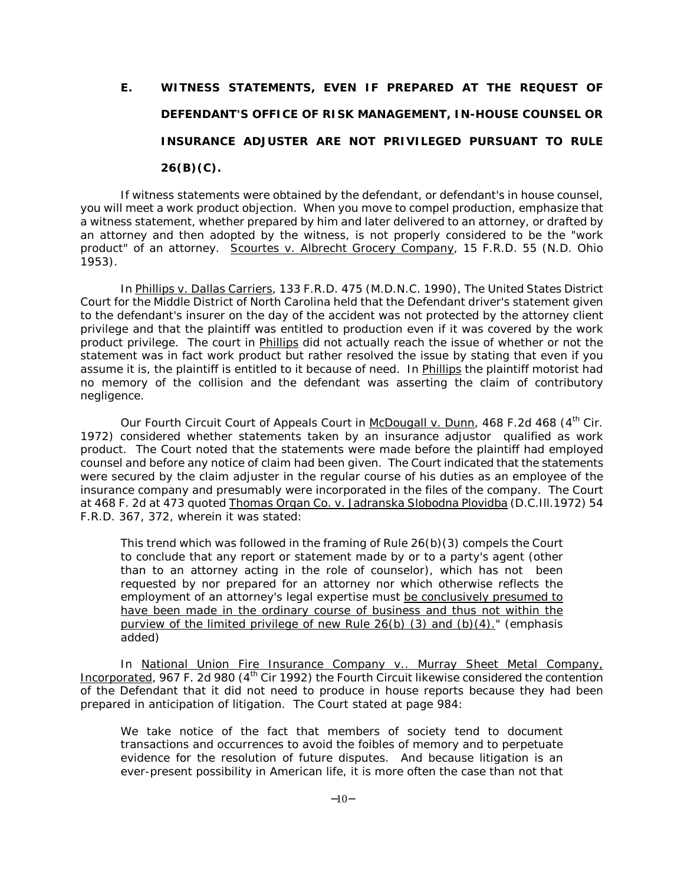# **E. WITNESS STATEMENTS, EVEN IF PREPARED AT THE REQUEST OF DEFENDANT'S OFFICE OF RISK MANAGEMENT, IN-HOUSE COUNSEL OR INSURANCE ADJUSTER ARE NOT PRIVILEGED PURSUANT TO RULE 26(B)(C).**

If witness statements were obtained by the defendant, or defendant's in house counsel, you will meet a work product objection. When you move to compel production, emphasize that a witness statement, whether prepared by him and later delivered to an attorney, or drafted by an attorney and then adopted by the witness, is not properly considered to be the "work product" of an attorney. Scourtes v. Albrecht Grocery Company, 15 F.R.D. 55 (N.D. Ohio 1953).

In Phillips v. Dallas Carriers, 133 F.R.D. 475 (M.D.N.C. 1990), The United States District Court for the Middle District of North Carolina held that the Defendant driver's statement given to the defendant's insurer on the day of the accident was not protected by the attorney client privilege and that the plaintiff was entitled to production even if it was covered by the work product privilege. The court in Phillips did not actually reach the issue of whether or not the statement was in fact work product but rather resolved the issue by stating that even if you assume it is, the plaintiff is entitled to it because of need. In Phillips the plaintiff motorist had no memory of the collision and the defendant was asserting the claim of contributory negligence.

Our Fourth Circuit Court of Appeals Court in McDougall v. Dunn, 468 F.2d 468 (4<sup>th</sup> Cir. 1972) considered whether statements taken by an insurance adjustor qualified as work product. The Court noted that the statements were made before the plaintiff had employed counsel and before any notice of claim had been given. The Court indicated that the statements were secured by the claim adjuster in the regular course of his duties as an employee of the insurance company and presumably were incorporated in the files of the company. The Court at 468 F. 2d at 473 quoted Thomas Organ Co. v. Jadranska Slobodna Plovidba (D.C.III.1972) 54 F.R.D. 367, 372, wherein it was stated:

This trend which was followed in the framing of Rule 26(b)(3) compels the Court to conclude that any report or statement made by or to a party's agent (other than to an attorney acting in the role of counselor), which has not been requested by nor prepared for an attorney nor which otherwise reflects the employment of an attorney's legal expertise must be conclusively presumed to have been made in the ordinary course of business and thus not within the purview of the limited privilege of new Rule  $26(b)$  (3) and  $(b)(4)$ ." (emphasis added)

In National Union Fire Insurance Company v.. Murray Sheet Metal Company, Incorporated, 967 F. 2d 980 (4<sup>th</sup> Cir 1992) the Fourth Circuit likewise considered the contention of the Defendant that it did not need to produce in house reports because they had been prepared in anticipation of litigation. The Court stated at page 984:

We take notice of the fact that members of society tend to document transactions and occurrences to avoid the foibles of memory and to perpetuate evidence for the resolution of future disputes. And because litigation is an ever-present possibility in American life, it is more often the case than not that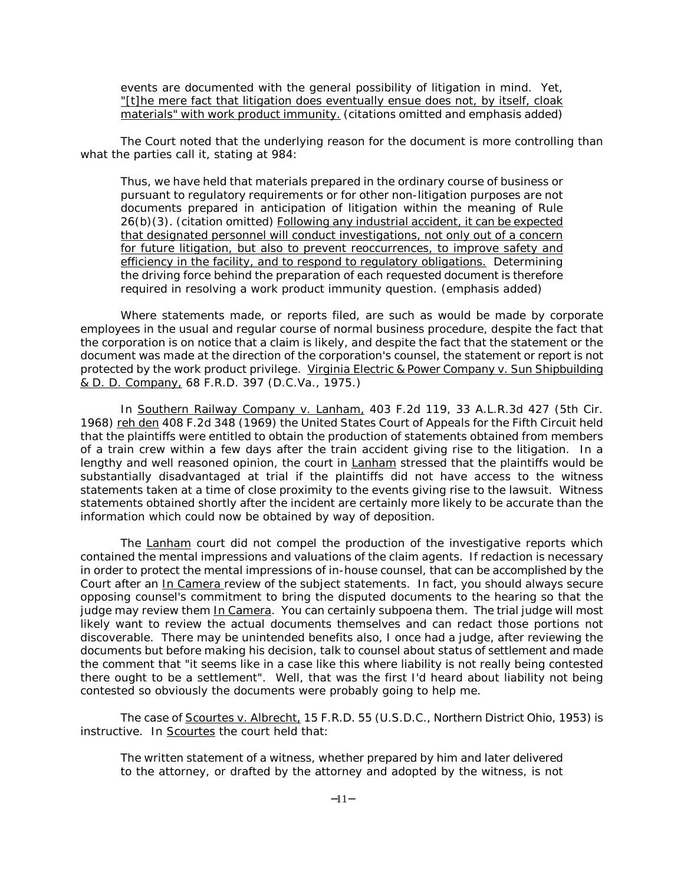events are documented with the general possibility of litigation in mind. Yet, "[t]he mere fact that litigation does eventually ensue does not, by itself, cloak materials" with work product immunity. (citations omitted and emphasis added)

The Court noted that the underlying reason for the document is more controlling than what the parties call it, stating at 984:

Thus, we have held that materials prepared in the ordinary course of business or pursuant to regulatory requirements or for other non-litigation purposes are not documents prepared in anticipation of litigation within the meaning of Rule 26(b)(3). (citation omitted) Following any industrial accident, it can be expected that designated personnel will conduct investigations, not only out of a concern for future litigation, but also to prevent reoccurrences, to improve safety and efficiency in the facility, and to respond to regulatory obligations. Determining the driving force behind the preparation of each requested document is therefore required in resolving a work product immunity question. (emphasis added)

Where statements made, or reports filed, are such as would be made by corporate employees in the usual and regular course of normal business procedure, despite the fact that the corporation is on notice that a claim is likely, and despite the fact that the statement or the document was made at the direction of the corporation's counsel, the statement or report is not protected by the work product privilege. Virginia Electric & Power Company v. Sun Shipbuilding & D. D. Company, 68 F.R.D. 397 (D.C.Va., 1975.)

In Southern Railway Company v. Lanham, 403 F.2d 119, 33 A.L.R.3d 427 (5th Cir. 1968) reh den 408 F.2d 348 (1969) the United States Court of Appeals for the Fifth Circuit held that the plaintiffs were entitled to obtain the production of statements obtained from members of a train crew within a few days after the train accident giving rise to the litigation. In a lengthy and well reasoned opinion, the court in Lanham stressed that the plaintiffs would be substantially disadvantaged at trial if the plaintiffs did not have access to the witness statements taken at a time of close proximity to the events giving rise to the lawsuit. Witness statements obtained shortly after the incident are certainly more likely to be accurate than the information which could now be obtained by way of deposition.

The Lanham court did not compel the production of the investigative reports which contained the mental impressions and valuations of the claim agents. If redaction is necessary in order to protect the mental impressions of in-house counsel, that can be accomplished by the Court after an In Camera review of the subject statements. In fact, you should always secure opposing counsel's commitment to bring the disputed documents to the hearing so that the judge may review them In Camera. You can certainly subpoena them. The trial judge will most likely want to review the actual documents themselves and can redact those portions not discoverable. There may be unintended benefits also, I once had a judge, after reviewing the documents but before making his decision, talk to counsel about status of settlement and made the comment that "it seems like in a case like this where liability is not really being contested there ought to be a settlement". Well, that was the first I'd heard about liability not being contested so obviously the documents were probably going to help me.

The case of Scourtes v. Albrecht, 15 F.R.D. 55 (U.S.D.C., Northern District Ohio, 1953) is instructive. In Scourtes the court held that:

The written statement of a witness, whether prepared by him and later delivered to the attorney, or drafted by the attorney and adopted by the witness, is not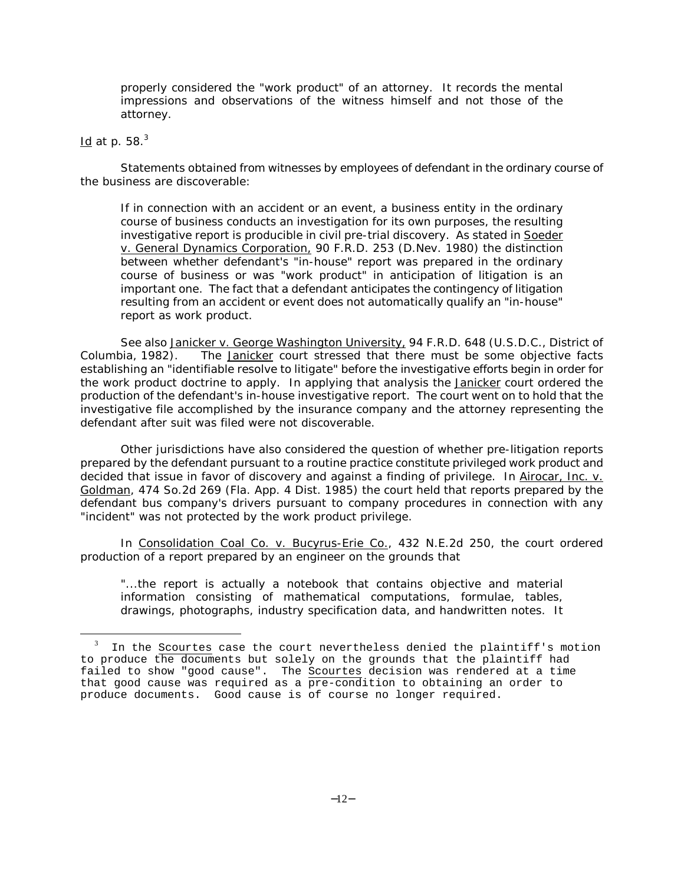properly considered the "work product" of an attorney. It records the mental impressions and observations of the witness himself and not those of the attorney.

#### Id at p.  $58.<sup>3</sup>$

 $\overline{a}$ 

Statements obtained from witnesses by employees of defendant in the ordinary course of the business are discoverable:

If in connection with an accident or an event, a business entity in the ordinary course of business conducts an investigation for its own purposes, the resulting investigative report is producible in civil pre-trial discovery. As stated in Soeder v. General Dynamics Corporation, 90 F.R.D. 253 (D.Nev. 1980) the distinction between whether defendant's "in-house" report was prepared in the ordinary course of business or was "work product" in anticipation of litigation is an important one. The fact that a defendant anticipates the contingency of litigation resulting from an accident or event does not automatically qualify an "in-house" report as work product.

See also Janicker v. George Washington University, 94 F.R.D. 648 (U.S.D.C., District of Columbia, 1982). The Janicker court stressed that there must be some objective facts establishing an "identifiable resolve to litigate" before the investigative efforts begin in order for the work product doctrine to apply. In applying that analysis the Janicker court ordered the production of the defendant's in-house investigative report. The court went on to hold that the investigative file accomplished by the insurance company and the attorney representing the defendant after suit was filed were not discoverable.

Other jurisdictions have also considered the question of whether pre-litigation reports prepared by the defendant pursuant to a routine practice constitute privileged work product and decided that issue in favor of discovery and against a finding of privilege. In Airocar, Inc. v. Goldman, 474 So.2d 269 (Fla. App. 4 Dist. 1985) the court held that reports prepared by the defendant bus company's drivers pursuant to company procedures in connection with any "incident" was not protected by the work product privilege.

In Consolidation Coal Co. v. Bucyrus-Erie Co., 432 N.E.2d 250, the court ordered production of a report prepared by an engineer on the grounds that

"...the report is actually a notebook that contains objective and material information consisting of mathematical computations, formulae, tables, drawings, photographs, industry specification data, and handwritten notes. It

In the Scourtes case the court nevertheless denied the plaintiff's motion to produce the documents but solely on the grounds that the plaintiff had failed to show "good cause". The Scourtes decision was rendered at a time that good cause was required as a  $\overline{pre-condition}$  to obtaining an order to produce documents. Good cause is of course no longer required.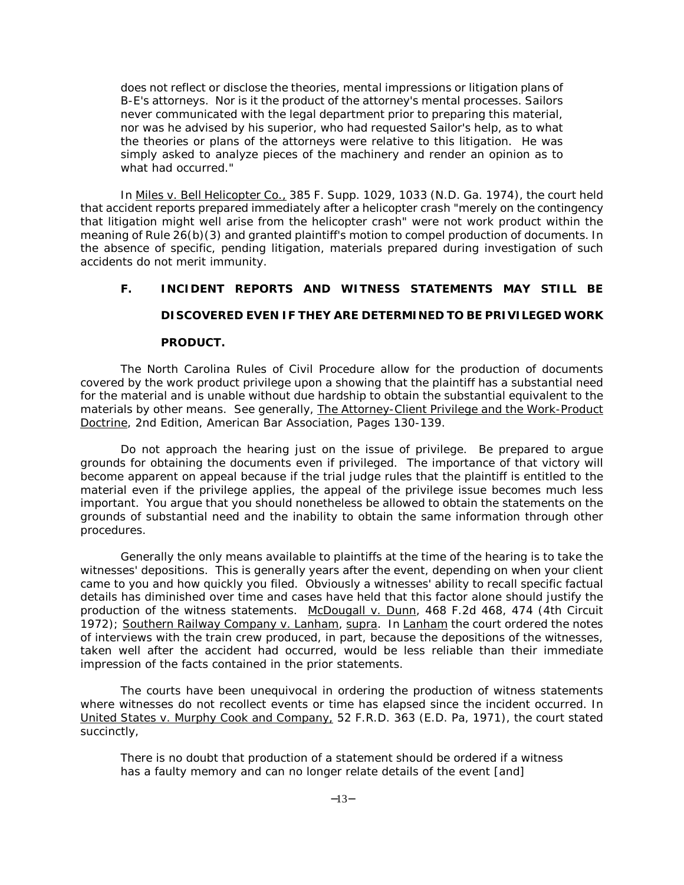does not reflect or disclose the theories, mental impressions or litigation plans of B-E's attorneys. Nor is it the product of the attorney's mental processes. Sailors never communicated with the legal department prior to preparing this material, nor was he advised by his superior, who had requested Sailor's help, as to what the theories or plans of the attorneys were relative to this litigation. He was simply asked to analyze pieces of the machinery and render an opinion as to what had occurred."

In Miles v. Bell Helicopter Co., 385 F. Supp. 1029, 1033 (N.D. Ga. 1974), the court held that accident reports prepared immediately after a helicopter crash "merely on the contingency that litigation might well arise from the helicopter crash" were not work product within the meaning of Rule 26(b)(3) and granted plaintiff's motion to compel production of documents. In the absence of specific, pending litigation, materials prepared during investigation of such accidents do not merit immunity.

## **F. INCIDENT REPORTS AND WITNESS STATEMENTS MAY STILL BE**

## **DISCOVERED EVEN IF THEY ARE DETERMINED TO BE PRIVILEGED WORK**

#### **PRODUCT.**

The North Carolina Rules of Civil Procedure allow for the production of documents covered by the work product privilege upon a showing that the plaintiff has a substantial need for the material and is unable without due hardship to obtain the substantial equivalent to the materials by other means. See generally, The Attorney-Client Privilege and the Work-Product Doctrine, 2nd Edition, American Bar Association, Pages 130-139.

Do not approach the hearing just on the issue of privilege. Be prepared to argue grounds for obtaining the documents even if privileged. The importance of that victory will become apparent on appeal because if the trial judge rules that the plaintiff is entitled to the material even if the privilege applies, the appeal of the privilege issue becomes much less important. You argue that you should nonetheless be allowed to obtain the statements on the grounds of substantial need and the inability to obtain the same information through other procedures.

Generally the only means available to plaintiffs at the time of the hearing is to take the witnesses' depositions. This is generally years after the event, depending on when your client came to you and how quickly you filed. Obviously a witnesses' ability to recall specific factual details has diminished over time and cases have held that this factor alone should justify the production of the witness statements. McDougall v. Dunn, 468 F.2d 468, 474 (4th Circuit 1972); Southern Railway Company v. Lanham, supra. In Lanham the court ordered the notes of interviews with the train crew produced, in part, because the depositions of the witnesses, taken well after the accident had occurred, would be less reliable than their immediate impression of the facts contained in the prior statements.

The courts have been unequivocal in ordering the production of witness statements where witnesses do not recollect events or time has elapsed since the incident occurred. In United States v. Murphy Cook and Company, 52 F.R.D. 363 (E.D. Pa, 1971), the court stated succinctly,

There is no doubt that production of a statement should be ordered if a witness has a faulty memory and can no longer relate details of the event [and]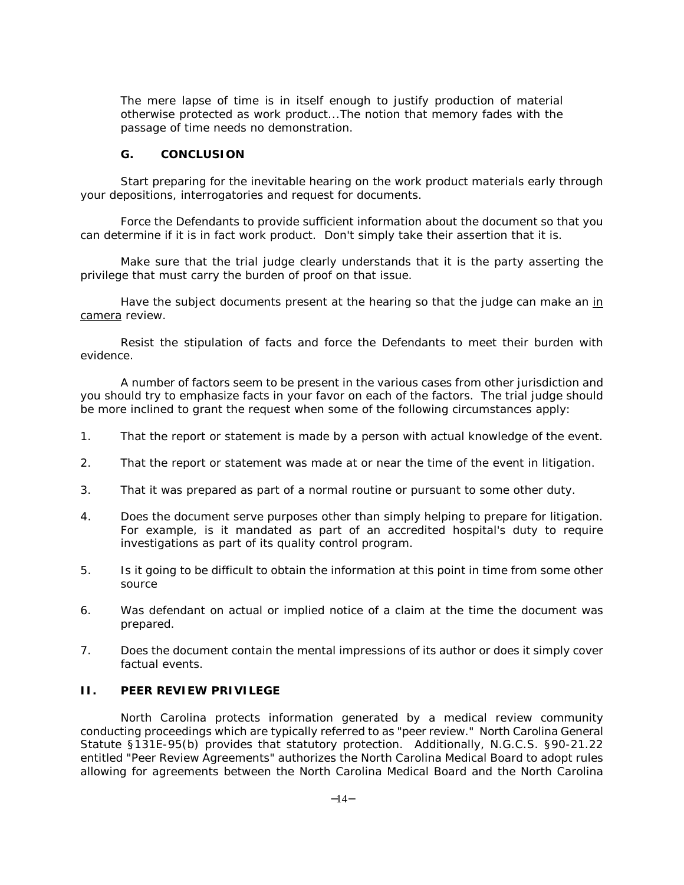The mere lapse of time is in itself enough to justify production of material otherwise protected as work product...The notion that memory fades with the passage of time needs no demonstration.

#### **G. CONCLUSION**

Start preparing for the inevitable hearing on the work product materials early through your depositions, interrogatories and request for documents.

Force the Defendants to provide sufficient information about the document so that you can determine if it is in fact work product. Don't simply take their assertion that it is.

Make sure that the trial judge clearly understands that it is the party asserting the privilege that must carry the burden of proof on that issue.

Have the subject documents present at the hearing so that the judge can make an in camera review.

Resist the stipulation of facts and force the Defendants to meet their burden with evidence.

A number of factors seem to be present in the various cases from other jurisdiction and you should try to emphasize facts in your favor on each of the factors. The trial judge should be more inclined to grant the request when some of the following circumstances apply:

- 1. That the report or statement is made by a person with actual knowledge of the event.
- 2. That the report or statement was made at or near the time of the event in litigation.
- 3. That it was prepared as part of a normal routine or pursuant to some other duty.
- 4. Does the document serve purposes other than simply helping to prepare for litigation. For example, is it mandated as part of an accredited hospital's duty to require investigations as part of its quality control program.
- 5. Is it going to be difficult to obtain the information at this point in time from some other source
- 6. Was defendant on actual or implied notice of a claim at the time the document was prepared.
- 7. Does the document contain the mental impressions of its author or does it simply cover factual events.

#### **II. PEER REVIEW PRIVILEGE**

North Carolina protects information generated by a medical review community conducting proceedings which are typically referred to as "peer review." North Carolina General Statute §131E-95(b) provides that statutory protection. Additionally, N.G.C.S. §90-21.22 entitled "Peer Review Agreements" authorizes the North Carolina Medical Board to adopt rules allowing for agreements between the North Carolina Medical Board and the North Carolina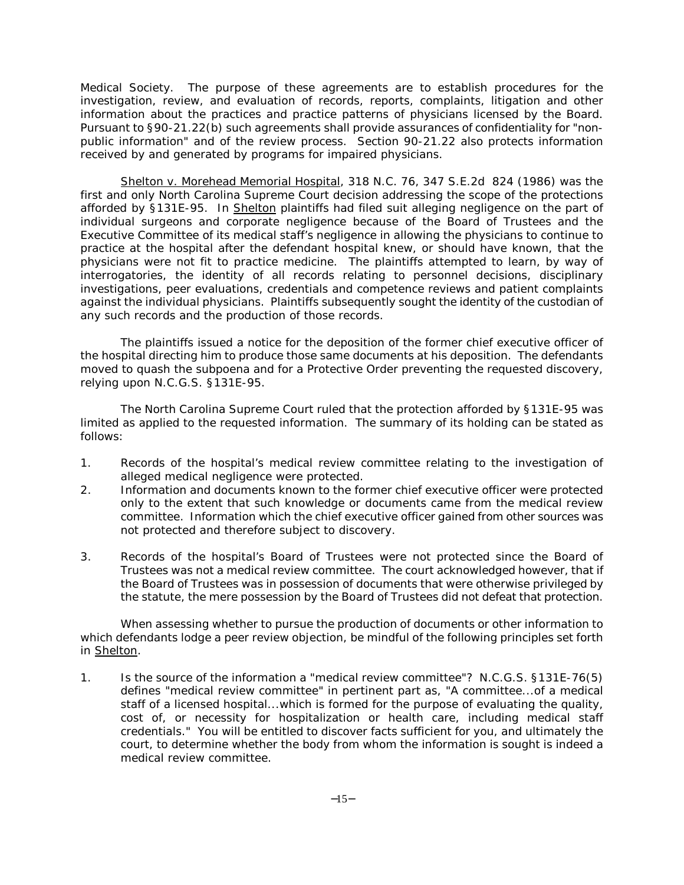Medical Society. The purpose of these agreements are to establish procedures for the investigation, review, and evaluation of records, reports, complaints, litigation and other information about the practices and practice patterns of physicians licensed by the Board. Pursuant to §90-21.22(b) such agreements shall provide assurances of confidentiality for "nonpublic information" and of the review process. Section 90-21.22 also protects information received by and generated by programs for impaired physicians.

Shelton v. Morehead Memorial Hospital, 318 N.C. 76, 347 S.E.2d 824 (1986) was the first and only North Carolina Supreme Court decision addressing the scope of the protections afforded by §131E-95. In Shelton plaintiffs had filed suit alleging negligence on the part of individual surgeons and corporate negligence because of the Board of Trustees and the Executive Committee of its medical staff's negligence in allowing the physicians to continue to practice at the hospital after the defendant hospital knew, or should have known, that the physicians were not fit to practice medicine. The plaintiffs attempted to learn, by way of interrogatories, the identity of all records relating to personnel decisions, disciplinary investigations, peer evaluations, credentials and competence reviews and patient complaints against the individual physicians. Plaintiffs subsequently sought the identity of the custodian of any such records and the production of those records.

The plaintiffs issued a notice for the deposition of the former chief executive officer of the hospital directing him to produce those same documents at his deposition. The defendants moved to quash the subpoena and for a Protective Order preventing the requested discovery, relying upon N.C.G.S. §131E-95.

The North Carolina Supreme Court ruled that the protection afforded by §131E-95 was limited as applied to the requested information. The summary of its holding can be stated as follows:

- 1. Records of the hospital's medical review committee relating to the investigation of alleged medical negligence were protected.
- 2. Information and documents known to the former chief executive officer were protected only to the extent that such knowledge or documents came from the medical review committee. Information which the chief executive officer gained from other sources was not protected and therefore subject to discovery.
- 3. Records of the hospital's Board of Trustees were not protected since the Board of Trustees was not a medical review committee. The court acknowledged however, that if the Board of Trustees was in possession of documents that were otherwise privileged by the statute, the mere possession by the Board of Trustees did not defeat that protection.

When assessing whether to pursue the production of documents or other information to which defendants lodge a peer review objection, be mindful of the following principles set forth in Shelton.

1. Is the source of the information a "medical review committee"? N.C.G.S. §131E-76(5) defines "medical review committee" in pertinent part as, "A committee...of a medical staff of a licensed hospital...which is formed for the purpose of evaluating the quality, cost of, or necessity for hospitalization or health care, including medical staff credentials." You will be entitled to discover facts sufficient for you, and ultimately the court, to determine whether the body from whom the information is sought is indeed a medical review committee.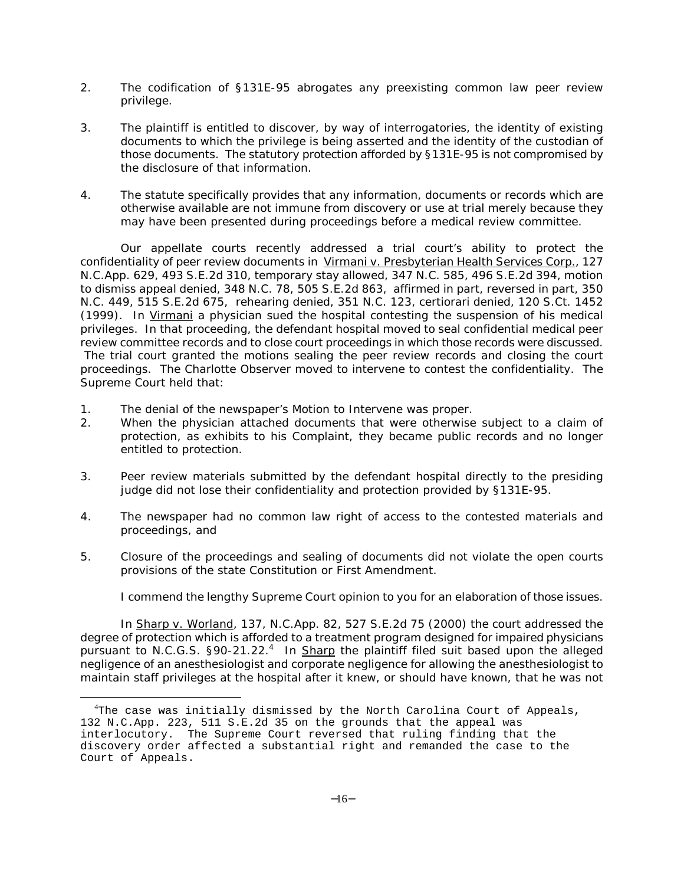- 2. The codification of §131E-95 abrogates any preexisting common law peer review privilege.
- 3. The plaintiff is entitled to discover, by way of interrogatories, the identity of existing documents to which the privilege is being asserted and the identity of the custodian of those documents. The statutory protection afforded by §131E-95 is not compromised by the disclosure of that information.
- 4. The statute specifically provides that any information, documents or records which are otherwise available are not immune from discovery or use at trial merely because they may have been presented during proceedings before a medical review committee.

Our appellate courts recently addressed a trial court's ability to protect the confidentiality of peer review documents in Virmani v. Presbyterian Health Services Corp., 127 N.C.App. 629, 493 S.E.2d 310, *temporary stay allowed*, 347 N.C. 585, 496 S.E.2d 394, *motion to dismiss appeal denied,* 348 N.C. 78, 505 S.E.2d 863, *affirmed in part, reversed in part*, 350 N.C. 449, 515 S.E.2d 675, *rehearing denied*, 351 N.C. 123, *certiorari denied*, 120 S.Ct. 1452 (1999). In Virmani a physician sued the hospital contesting the suspension of his medical privileges. In that proceeding, the defendant hospital moved to seal confidential medical peer review committee records and to close court proceedings in which those records were discussed. The trial court granted the motions sealing the peer review records and closing the court proceedings. The *Charlotte Observer* moved to intervene to contest the confidentiality. The Supreme Court held that:

1. The denial of the newspaper's Motion to Intervene was proper.

 $\overline{a}$ 

- 2. When the physician attached documents that were otherwise subject to a claim of protection, as exhibits to his Complaint, they became public records and no longer entitled to protection.
- 3. Peer review materials submitted by the defendant hospital directly to the presiding judge did not lose their confidentiality and protection provided by §131E-95.
- 4. The newspaper had no common law right of access to the contested materials and proceedings, and
- 5. Closure of the proceedings and sealing of documents did not violate the open courts provisions of the state Constitution or First Amendment.

I commend the lengthy Supreme Court opinion to you for an elaboration of those issues.

In Sharp v. Worland, 137, N.C.App. 82, 527 S.E.2d 75 (2000) the court addressed the degree of protection which is afforded to a treatment program designed for impaired physicians pursuant to N.C.G.S. §90-21.22.<sup>4</sup> In Sharp the plaintiff filed suit based upon the alleged negligence of an anesthesiologist and corporate negligence for allowing the anesthesiologist to maintain staff privileges at the hospital after it knew, or should have known, that he was not

<sup>&</sup>lt;sup>4</sup>The case was initially dismissed by the North Carolina Court of Appeals, 132 N.C.App. 223, 511 S.E.2d 35 on the grounds that the appeal was interlocutory. The Supreme Court reversed that ruling finding that the discovery order affected a substantial right and remanded the case to the Court of Appeals.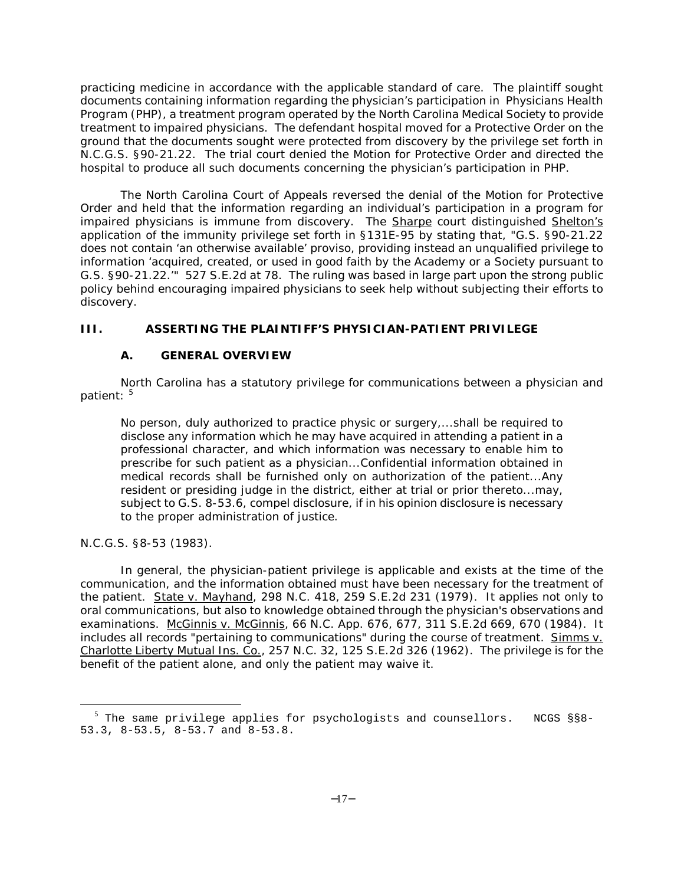practicing medicine in accordance with the applicable standard of care. The plaintiff sought documents containing information regarding the physician's participation in Physicians Health Program (PHP), a treatment program operated by the North Carolina Medical Society to provide treatment to impaired physicians. The defendant hospital moved for a Protective Order on the ground that the documents sought were protected from discovery by the privilege set forth in N.C.G.S. §90-21.22. The trial court denied the Motion for Protective Order and directed the hospital to produce all such documents concerning the physician's participation in PHP.

The North Carolina Court of Appeals reversed the denial of the Motion for Protective Order and held that the information regarding an individual's participation in a program for impaired physicians is immune from discovery. The Sharpe court distinguished Shelton's application of the immunity privilege set forth in §131E-95 by stating that, "G.S. §90-21.22 does not contain 'an otherwise available' proviso, providing instead an unqualified privilege to information 'acquired, created, or used in good faith by the Academy or a Society pursuant to G.S. §90-21.22.'" 527 S.E.2d at 78. The ruling was based in large part upon the strong public policy behind encouraging impaired physicians to seek help without subjecting their efforts to discovery.

## **III. ASSERTING THE PLAINTIFF'S PHYSICIAN-PATIENT PRIVILEGE**

## **A. GENERAL OVERVIEW**

North Carolina has a statutory privilege for communications between a physician and patient: 5

No person, duly authorized to practice physic or surgery,...shall be required to disclose any information which he may have acquired in attending a patient in a professional character, and which information was necessary to enable him to prescribe for such patient as a physician...Confidential information obtained in medical records shall be furnished only on authorization of the patient...Any resident or presiding judge in the district, either at trial or prior thereto...may, subject to G.S. 8-53.6, compel disclosure, if in his opinion disclosure is necessary to the proper administration of justice.

N.C.G.S. §8-53 (1983).

 $\overline{a}$ 

In general, the physician-patient privilege is applicable and exists at the time of the communication, and the information obtained must have been necessary for the treatment of the patient. State v. Mayhand, 298 N.C. 418, 259 S.E.2d 231 (1979). It applies not only to oral communications, but also to knowledge obtained through the physician's observations and examinations. McGinnis v. McGinnis, 66 N.C. App. 676, 677, 311 S.E.2d 669, 670 (1984). It includes all records "pertaining to communications" during the course of treatment. Simms v. Charlotte Liberty Mutual Ins. Co., 257 N.C. 32, 125 S.E.2d 326 (1962). The privilege is for the benefit of the patient alone, and only the patient may waive it.

<sup>&</sup>lt;sup>5</sup> The same privilege applies for psychologists and counsellors. NCGS §§8-53.3, 8-53.5, 8-53.7 and 8-53.8.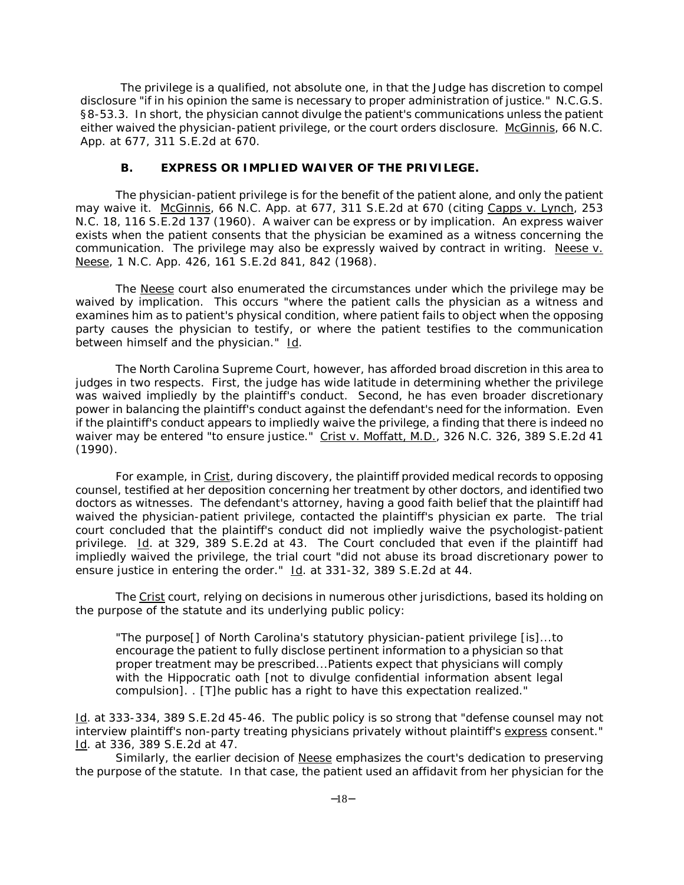The privilege is a qualified, not absolute one, in that the Judge has discretion to compel disclosure "if in his opinion the same is necessary to proper administration of justice." N.C.G.S. §8-53.3. In short, the physician cannot divulge the patient's communications unless the patient either waived the physician-patient privilege, or the court orders disclosure. McGinnis, 66 N.C. App. at 677, 311 S.E.2d at 670.

#### **B. EXPRESS OR IMPLIED WAIVER OF THE PRIVILEGE.**

The physician-patient privilege is for the benefit of the patient alone, and only the patient may waive it. McGinnis, 66 N.C. App. at 677, 311 S.E.2d at 670 (citing Capps v. Lynch, 253 N.C. 18, 116 S.E.2d 137 (1960). A waiver can be express or by implication. An express waiver exists when the patient consents that the physician be examined as a witness concerning the communication. The privilege may also be expressly waived by contract in writing. Neese  $v$ . Neese, 1 N.C. App. 426, 161 S.E.2d 841, 842 (1968).

The Neese court also enumerated the circumstances under which the privilege may be waived by implication. This occurs "where the patient calls the physician as a witness and examines him as to patient's physical condition, where patient fails to object when the opposing party causes the physician to testify, or where the patient testifies to the communication between himself and the physician." Id.

The North Carolina Supreme Court, however, has afforded broad discretion in this area to judges in two respects. First, the judge has wide latitude in determining whether the privilege was waived impliedly by the plaintiff's conduct. Second, he has even broader discretionary power in balancing the plaintiff's conduct against the defendant's need for the information. Even if the plaintiff's conduct appears to impliedly waive the privilege, a finding that there is indeed no waiver may be entered "to ensure justice." Crist v. Moffatt, M.D., 326 N.C. 326, 389 S.E.2d 41 (1990).

For example, in Crist, during discovery, the plaintiff provided medical records to opposing counsel, testified at her deposition concerning her treatment by other doctors, and identified two doctors as witnesses. The defendant's attorney, having a good faith belief that the plaintiff had waived the physician-patient privilege, contacted the plaintiff's physician ex parte. The trial court concluded that the plaintiff's conduct did not impliedly waive the psychologist-patient privilege. Id. at 329, 389 S.E.2d at 43. The Court concluded that even if the plaintiff had impliedly waived the privilege, the trial court "did not abuse its broad discretionary power to ensure justice in entering the order." Id. at 331-32, 389 S.E.2d at 44.

The Crist court, relying on decisions in numerous other jurisdictions, based its holding on the purpose of the statute and its underlying public policy:

"The purpose[] of North Carolina's statutory physician-patient privilege [is]...to encourage the patient to fully disclose pertinent information to a physician so that proper treatment may be prescribed...Patients expect that physicians will comply with the Hippocratic oath [not to divulge confidential information absent legal compulsion]. . [T]he public has a right to have this expectation realized."

Id. at 333-334, 389 S.E.2d 45-46. The public policy is so strong that "defense counsel may not interview plaintiff's non-party treating physicians privately without plaintiff's express consent." Id. at 336, 389 S.E.2d at 47.

Similarly, the earlier decision of Neese emphasizes the court's dedication to preserving the purpose of the statute. In that case, the patient used an affidavit from her physician for the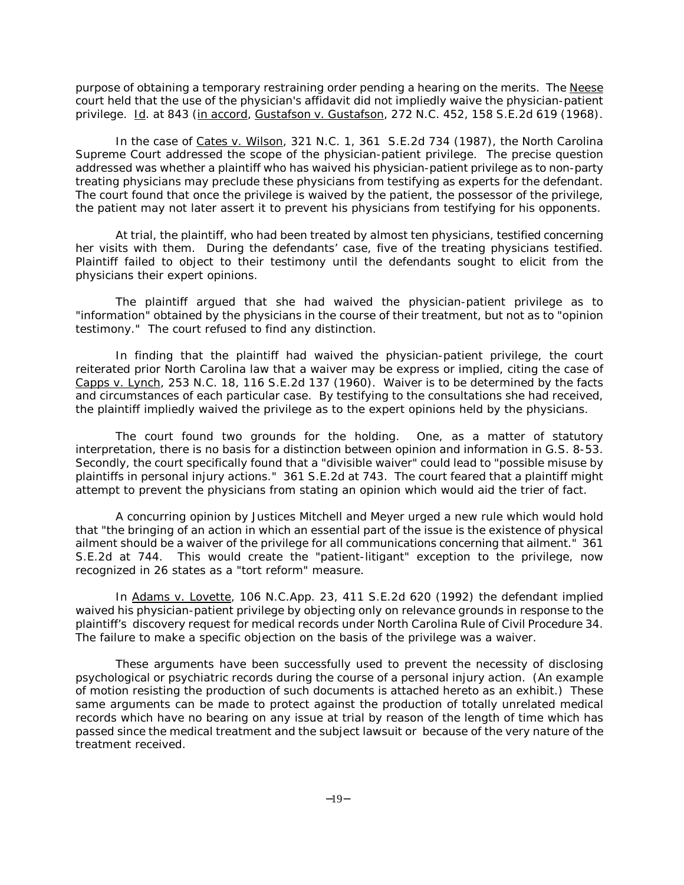purpose of obtaining a temporary restraining order pending a hearing on the merits. The Neese court held that the use of the physician's affidavit did not impliedly waive the physician-patient privilege. Id. at 843 (in accord, Gustafson v. Gustafson, 272 N.C. 452, 158 S.E.2d 619 (1968).

In the case of Cates v. Wilson, 321 N.C. 1, 361 S.E.2d 734 (1987), the North Carolina Supreme Court addressed the scope of the physician-patient privilege. The precise question addressed was whether a plaintiff who has waived his physician-patient privilege as to non-party treating physicians may preclude these physicians from testifying as experts for the defendant. The court found that once the privilege is waived by the patient, the possessor of the privilege, the patient may not later assert it to prevent his physicians from testifying for his opponents.

At trial, the plaintiff, who had been treated by almost ten physicians, testified concerning her visits with them. During the defendants' case, five of the treating physicians testified. Plaintiff failed to object to their testimony until the defendants sought to elicit from the physicians their expert opinions.

The plaintiff argued that she had waived the physician-patient privilege as to "information" obtained by the physicians in the course of their treatment, but not as to "opinion testimony." The court refused to find any distinction.

In finding that the plaintiff had waived the physician-patient privilege, the court reiterated prior North Carolina law that a waiver may be express or implied, citing the case of Capps v. Lynch, 253 N.C. 18, 116 S.E.2d 137 (1960). Waiver is to be determined by the facts and circumstances of each particular case. By testifying to the consultations she had received, the plaintiff impliedly waived the privilege as to the expert opinions held by the physicians.

The court found two grounds for the holding. One, as a matter of statutory interpretation, there is no basis for a distinction between opinion and information in G.S. 8-53. Secondly, the court specifically found that a "divisible waiver" could lead to "possible misuse by plaintiffs in personal injury actions." 361 S.E.2d at 743. The court feared that a plaintiff might attempt to prevent the physicians from stating an opinion which would aid the trier of fact.

A concurring opinion by Justices Mitchell and Meyer urged a new rule which would hold that "the bringing of an action in which an essential part of the issue is the existence of physical ailment should be a waiver of the privilege for all communications concerning that ailment." 361 S.E.2d at 744. This would create the "patient-litigant" exception to the privilege, now recognized in 26 states as a "tort reform" measure.

In Adams v. Lovette, 106 N.C.App. 23, 411 S.E.2d 620 (1992) the defendant implied waived his physician-patient privilege by objecting only on relevance grounds in response to the plaintiff's discovery request for medical records under North Carolina Rule of Civil Procedure 34. The failure to make a specific objection on the basis of the privilege was a waiver.

These arguments have been successfully used to prevent the necessity of disclosing psychological or psychiatric records during the course of a personal injury action. (An example of motion resisting the production of such documents is attached hereto as an exhibit.) These same arguments can be made to protect against the production of totally unrelated medical records which have no bearing on any issue at trial by reason of the length of time which has passed since the medical treatment and the subject lawsuit or because of the very nature of the treatment received.